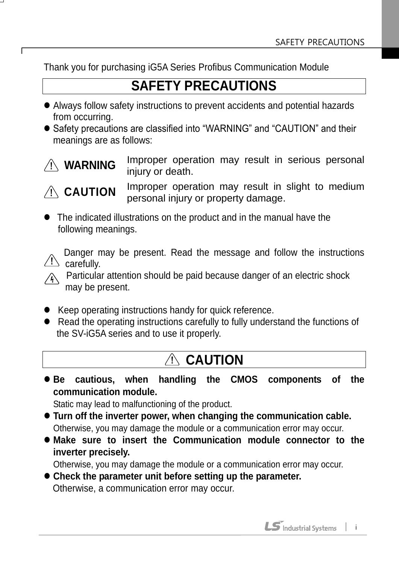Thank you for purchasing iG5A Series Profibus Communication Module

# **SAFETY PRECAUTIONS**

- Always follow safety instructions to prevent accidents and potential hazards from occurring.
- Safety precautions are classified into "WARNING" and "CAUTION" and their meanings are as follows:



Improper operation may result in serious personal injury or death.

# **CAUTION**

Improper operation may result in slight to medium personal injury or property damage.

 The indicated illustrations on the product and in the manual have the following meanings.

 Danger may be present. Read the message and follow the instructions carefully.

 Particular attention should be paid because danger of an electric shock may be present.

- Keep operating instructions handy for quick reference.
- Read the operating instructions carefully to fully understand the functions of the SV-iG5A series and to use it properly.

# **CAUTION**

 **Be cautious, when handling the CMOS components of the communication module.**

Static may lead to malfunctioning of the product.

- **Turn off the inverter power, when changing the communication cable.** Otherwise, you may damage the module or a communication error may occur.
- **Make sure to insert the Communication module connector to the inverter precisely.**

Otherwise, you may damage the module or a communication error may occur.

 **Check the parameter unit before setting up the parameter.** Otherwise, a communication error may occur.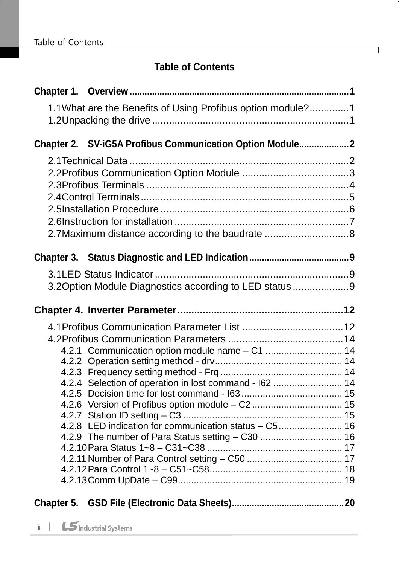ı

## **Table of Contents**

٦

<span id="page-1-0"></span>

| 1.1What are the Benefits of Using Profibus option module?1 |  |
|------------------------------------------------------------|--|
| Chapter 2. SV-iG5A Profibus Communication Option Module2   |  |
|                                                            |  |
|                                                            |  |
|                                                            |  |
|                                                            |  |
|                                                            |  |
|                                                            |  |
| 2.7 Maximum distance according to the baudrate 8           |  |
|                                                            |  |
|                                                            |  |
| 3.2 Option Module Diagnostics according to LED status 9    |  |
|                                                            |  |
|                                                            |  |
|                                                            |  |
| 4.2.1 Communication option module name - C1  14            |  |
|                                                            |  |
|                                                            |  |
| 4.2.4 Selection of operation in lost command - I62  14     |  |
|                                                            |  |
|                                                            |  |
| 4.2.8 LED indication for communication status - C5 16      |  |
|                                                            |  |
|                                                            |  |
|                                                            |  |
|                                                            |  |
|                                                            |  |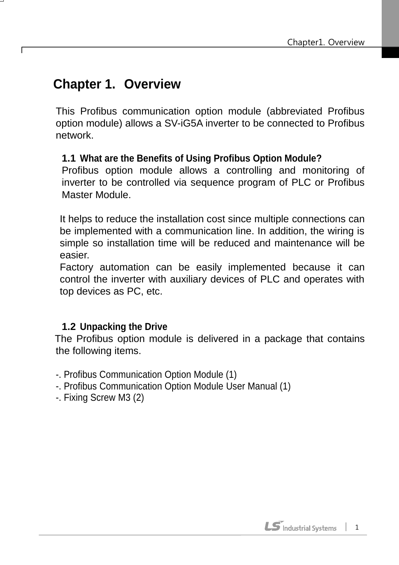## **Chapter 1. Overview**

This Profibus communication option module (abbreviated Profibus option module) allows a SV-iG5A inverter to be connected to Profibus network.

#### <span id="page-2-0"></span>**1.1 What are the Benefits of Using Profibus Option Module?**

Profibus option module allows a controlling and monitoring of inverter to be controlled via sequence program of PLC or Profibus Master Module.

It helps to reduce the installation cost since multiple connections can be implemented with a communication line. In addition, the wiring is simple so installation time will be reduced and maintenance will be easier.

Factory automation can be easily implemented because it can control the inverter with auxiliary devices of PLC and operates with top devices as PC, etc.

#### **1.2 Unpacking the Drive**

<span id="page-2-1"></span>The Profibus option module is delivered in a package that contains the following items.

- -. Profibus Communication Option Module (1)
- -. Profibus Communication Option Module User Manual (1)
- -. Fixing Screw M3 (2)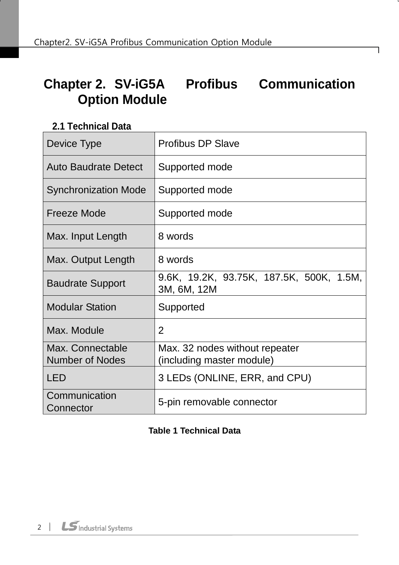# **Chapter 2. SV-iG5A Profibus Communication Option Module**

#### **2.1 Technical Data**

<span id="page-3-0"></span>

| Device Type                                | <b>Profibus DP Slave</b>                                    |  |  |  |
|--------------------------------------------|-------------------------------------------------------------|--|--|--|
| <b>Auto Baudrate Detect</b>                | Supported mode                                              |  |  |  |
| <b>Synchronization Mode</b>                | Supported mode                                              |  |  |  |
| <b>Freeze Mode</b>                         | Supported mode                                              |  |  |  |
| Max. Input Length                          | 8 words                                                     |  |  |  |
| Max. Output Length                         | 8 words                                                     |  |  |  |
| <b>Baudrate Support</b>                    | 9.6K, 19.2K, 93.75K, 187.5K, 500K, 1.5M,<br>3M, 6M, 12M     |  |  |  |
| <b>Modular Station</b>                     | Supported                                                   |  |  |  |
| Max. Module                                | 2                                                           |  |  |  |
| Max. Connectable<br><b>Number of Nodes</b> | Max. 32 nodes without repeater<br>(including master module) |  |  |  |
| LED                                        | 3 LEDs (ONLINE, ERR, and CPU)                               |  |  |  |
| Communication<br>Connector                 | 5-pin removable connector                                   |  |  |  |

#### **Table 1 Technical Data**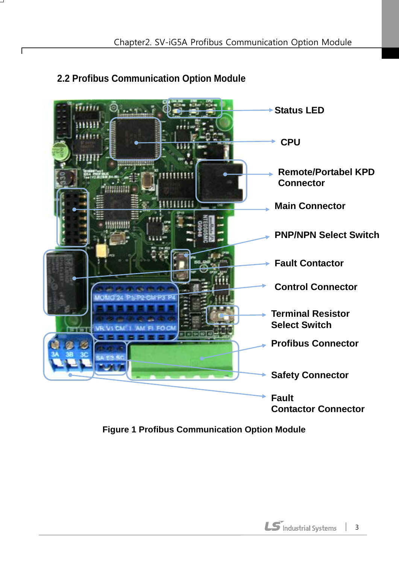

#### <span id="page-4-0"></span>**2.2 Profibus Communication Option Module**

**Figure 1 Profibus Communication Option Module**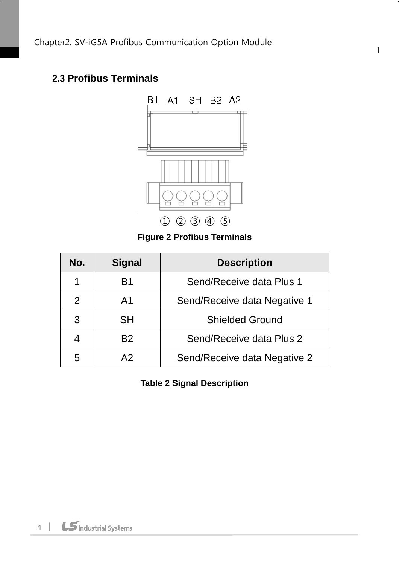#### <span id="page-5-0"></span>**2.3 Profibus Terminals**



#### **Figure 2 Profibus Terminals**

| No. | <b>Signal</b>  | <b>Description</b>           |  |  |
|-----|----------------|------------------------------|--|--|
| 1   | B <sub>1</sub> | Send/Receive data Plus 1     |  |  |
| 2   | A <sub>1</sub> | Send/Receive data Negative 1 |  |  |
| 3   | <b>SH</b>      | <b>Shielded Ground</b>       |  |  |
| 4   | B <sub>2</sub> | Send/Receive data Plus 2     |  |  |
| 5   | Α2             | Send/Receive data Negative 2 |  |  |

**Table 2 Signal Description**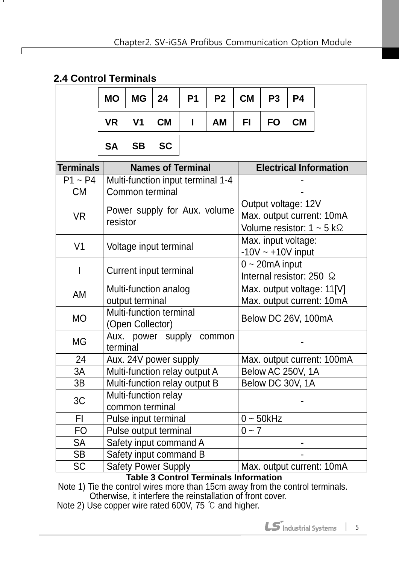#### **2.4 Control Terminals**

 $\Gamma$ 

|                  | <b>MO</b> | <b>MG</b>                                                                                                                              | 24                            | P <sub>1</sub> | P <sub>2</sub>                    | <b>CM</b> | P <sub>3</sub>    | P <sub>4</sub>                                |                                                         |
|------------------|-----------|----------------------------------------------------------------------------------------------------------------------------------------|-------------------------------|----------------|-----------------------------------|-----------|-------------------|-----------------------------------------------|---------------------------------------------------------|
|                  | <b>VR</b> | V <sub>1</sub>                                                                                                                         | <b>CM</b>                     | L              | AM                                | FI.       | <b>FO</b>         | <b>CM</b>                                     |                                                         |
|                  | <b>SA</b> | <b>SB</b>                                                                                                                              | <b>SC</b>                     |                |                                   |           |                   |                                               |                                                         |
| <b>Terminals</b> |           | <b>Names of Terminal</b>                                                                                                               |                               |                |                                   |           |                   |                                               | <b>Electrical Information</b>                           |
| $P1 \sim P4$     |           |                                                                                                                                        |                               |                | Multi-function input terminal 1-4 |           |                   |                                               |                                                         |
| <b>CM</b>        |           |                                                                                                                                        | Common terminal               |                |                                   |           |                   |                                               |                                                         |
| <b>VR</b>        |           | Output voltage: 12V<br>Power supply for Aux. volume<br>Max. output current: 10mA<br>resistor<br>Volume resistor: $1 \sim 5$ k $\Omega$ |                               |                |                                   |           |                   |                                               |                                                         |
| V <sub>1</sub>   |           |                                                                                                                                        | Voltage input terminal        |                |                                   |           |                   | Max. input voltage:<br>$-10V \sim +10V$ input |                                                         |
| I                |           | Current input terminal                                                                                                                 |                               |                |                                   |           | $0 - 20$ mA input | Internal resistor: 250 $\Omega$               |                                                         |
| AM               |           | Multi-function analog<br>output terminal                                                                                               |                               |                |                                   |           |                   |                                               | Max. output voltage: 11[V]<br>Max. output current: 10mA |
| <b>MO</b>        |           | (Open Collector)                                                                                                                       | Multi-function terminal       |                |                                   |           |                   | Below DC 26V, 100mA                           |                                                         |
| <b>MG</b>        | terminal  |                                                                                                                                        | Aux. power supply             |                | common                            |           |                   |                                               |                                                         |
| 24               |           |                                                                                                                                        | Aux. 24V power supply         |                |                                   |           |                   |                                               | Max. output current: 100mA                              |
| 3A               |           |                                                                                                                                        | Multi-function relay output A |                |                                   |           |                   | Below AC 250V, 1A                             |                                                         |
| 3B               |           |                                                                                                                                        | Multi-function relay output B |                |                                   |           |                   | Below DC 30V, 1A                              |                                                         |
| 3C               |           | Multi-function relay<br>common terminal                                                                                                |                               |                |                                   |           |                   |                                               |                                                         |
| FI               |           |                                                                                                                                        | Pulse input terminal          |                |                                   |           | $0 \sim 50$ kHz   |                                               |                                                         |
| <b>FO</b>        |           |                                                                                                                                        | Pulse output terminal         |                |                                   | $0 - 7$   |                   |                                               |                                                         |
| <b>SA</b>        |           |                                                                                                                                        | Safety input command A        |                |                                   |           |                   |                                               |                                                         |
| <b>SB</b>        |           |                                                                                                                                        | Safety input command B        |                |                                   |           |                   |                                               |                                                         |
| <b>SC</b>        |           |                                                                                                                                        | <b>Safety Power Supply</b>    |                |                                   |           |                   |                                               | Max. output current: 10mA                               |

**Table 3 Control Terminals Information**

Note 1) Tie the control wires more than 15cm away from the control terminals. Otherwise, it interfere the reinstallation of front cover.

Note 2) Use copper wire rated 600V, 75 ℃ and higher.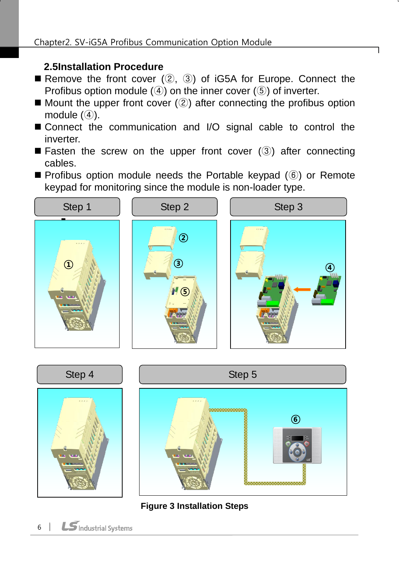#### <span id="page-7-0"></span>**2.5Installation Procedure**

- Remove the front cover  $(2, 3)$  of iG5A for Europe. Connect the Profibus option module  $(4)$  on the inner cover  $(5)$  of inverter.
- $\blacksquare$  Mount the upper front cover  $(2)$  after connecting the profibus option module  $(4)$ .
- Connect the communication and I/O signal cable to control the inverter.
- **Fasten the screw on the upper front cover (3) after connecting** cables.
- Profibus option module needs the Portable keypad (⑥) or Remote keypad for monitoring since the module is non-loader type.





**Figure 3 Installation Steps**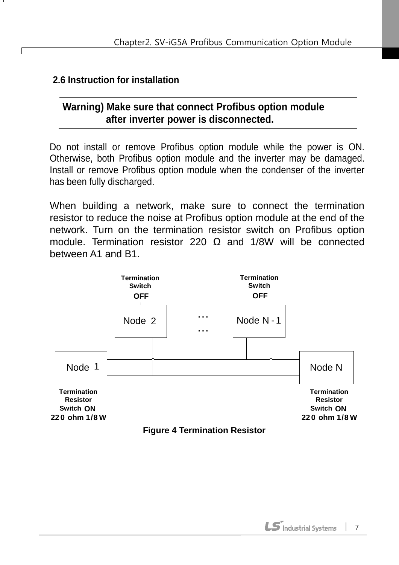#### **2.6 Instruction for installation**

#### **Warning) Make sure that connect Profibus option module after inverter power is disconnected.**

Do not install or remove Profibus option module while the power is ON. Otherwise, both Profibus option module and the inverter may be damaged. Install or remove Profibus option module when the condenser of the inverter has been fully discharged.

When building a network, make sure to connect the termination resistor to reduce the noise at Profibus option module at the end of the network. Turn on the termination resistor switch on Profibus option module. Termination resistor 220  $\Omega$  and 1/8W will be connected between A1 and B1.

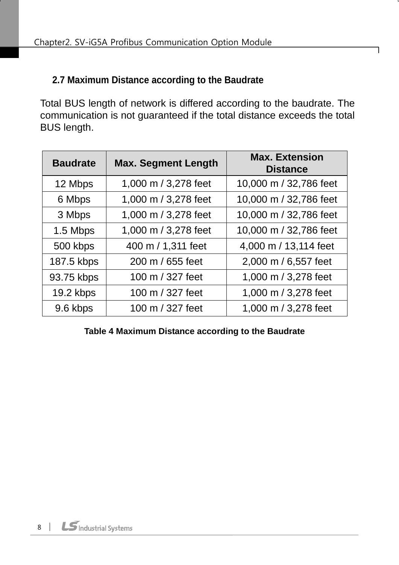#### <span id="page-9-0"></span>**2.7 Maximum Distance according to the Baudrate**

Total BUS length of network is differed according to the baudrate. The communication is not guaranteed if the total distance exceeds the total BUS length.

| <b>Baudrate</b> | <b>Max. Segment Length</b> | <b>Max. Extension</b><br><b>Distance</b> |
|-----------------|----------------------------|------------------------------------------|
| 12 Mbps         | 1,000 m / 3,278 feet       | 10,000 m / 32,786 feet                   |
| 6 Mbps          | 1,000 m / 3,278 feet       | 10,000 m / 32,786 feet                   |
| 3 Mbps          | 1,000 m / 3,278 feet       | 10,000 m / 32,786 feet                   |
| 1.5 Mbps        | 1,000 m / 3,278 feet       | 10,000 m / 32,786 feet                   |
| 500 kbps        | 400 m / 1,311 feet         | 4,000 m / 13,114 feet                    |
| 187.5 kbps      | 200 m / 655 feet           | 2,000 m / 6,557 feet                     |
| 93.75 kbps      | 100 m / 327 feet           | 1,000 m / 3,278 feet                     |
| 19.2 kbps       | 100 m / 327 feet           | 1,000 m / 3,278 feet                     |
| 9.6 kbps        | 100 m / 327 feet           | 1,000 m / 3,278 feet                     |

**Table 4 Maximum Distance according to the Baudrate**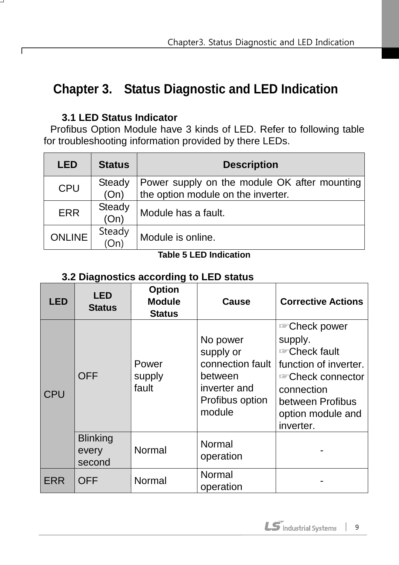# <span id="page-10-0"></span>**Chapter 3. Status Diagnostic and LED Indication**

#### **3.1 LED Status Indicator**

ſ

<span id="page-10-1"></span>Profibus Option Module have 3 kinds of LED. Refer to following table for troubleshooting information provided by there LEDs.

| <b>LED</b>    | <b>Status</b>         | <b>Description</b>                                                                 |  |  |  |
|---------------|-----------------------|------------------------------------------------------------------------------------|--|--|--|
| <b>CPU</b>    | Steady<br>(On)        | Power supply on the module OK after mounting<br>the option module on the inverter. |  |  |  |
| <b>ERR</b>    | <b>Steady</b><br>(On) | Module has a fault.                                                                |  |  |  |
| <b>ONLINE</b> | Steady<br>(On)        | Module is online.                                                                  |  |  |  |

#### **Table 5 LED Indication**

#### **3.2 Diagnostics according to LED status**

<span id="page-10-2"></span>

| <b>LED</b> | <b>LED</b><br><b>Status</b>        | <b>Option</b><br><b>Module</b><br><b>Status</b> | <b>Cause</b>                                                                                      | <b>Corrective Actions</b>                                                                                                                                                                   |
|------------|------------------------------------|-------------------------------------------------|---------------------------------------------------------------------------------------------------|---------------------------------------------------------------------------------------------------------------------------------------------------------------------------------------------|
| <b>CPU</b> | <b>OFF</b>                         | Power<br>supply<br>fault                        | No power<br>supply or<br>connection fault<br>between<br>inverter and<br>Profibus option<br>module | <b>Example Check power</b><br>supply.<br><b>Example Check fault</b><br>function of inverter.<br><i></i> Check connector<br>connection<br>between Profibus<br>option module and<br>inverter. |
|            | <b>Blinking</b><br>every<br>second | Normal                                          | Normal<br>operation                                                                               |                                                                                                                                                                                             |
| ERR        | <b>OFF</b>                         | Normal                                          | Normal<br>operation                                                                               |                                                                                                                                                                                             |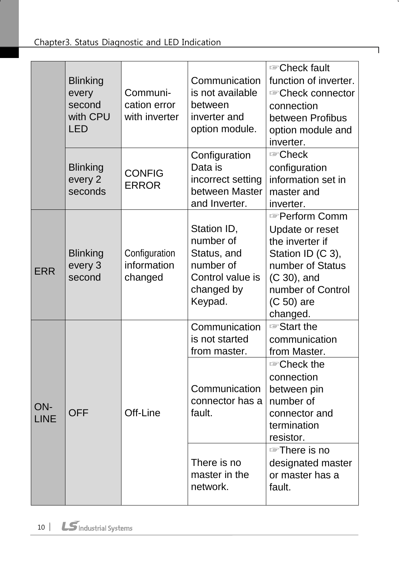|                    | <b>Blinking</b><br>every<br>second<br>with CPU<br><b>LED</b> | Communi-<br>cation error<br>with inverter | Communication<br>is not available<br>between<br>inverter and<br>option module.                    | <b>Example Check fault</b><br>function of inverter.<br><b>Example Check connector</b><br>connection<br>between Profibus<br>option module and<br>inverter.       |
|--------------------|--------------------------------------------------------------|-------------------------------------------|---------------------------------------------------------------------------------------------------|-----------------------------------------------------------------------------------------------------------------------------------------------------------------|
|                    | <b>Blinking</b><br>every 2<br>seconds                        | <b>CONFIG</b><br><b>ERROR</b>             | Configuration<br>Data is<br>incorrect setting<br>between Master<br>and Inverter.                  | <b>Example Check</b><br>configuration<br>information set in<br>master and<br>inverter.                                                                          |
| <b>ERR</b>         | <b>Blinking</b><br>every 3<br>second                         | Configuration<br>information<br>changed   | Station ID,<br>number of<br>Status, and<br>number of<br>Control value is<br>changed by<br>Keypad. | <b>Reform Comm</b><br>Update or reset<br>the inverter if<br>Station ID (C 3),<br>number of Status<br>(C 30), and<br>number of Control<br>(C 50) are<br>changed. |
|                    |                                                              |                                           | Communication<br>is not started<br>from master.                                                   | <b>Start the</b><br>communication<br>from Master.                                                                                                               |
| ON-<br><b>LINE</b> | <b>OFF</b>                                                   | Off-Line                                  | Communication<br>connector has a<br>fault.                                                        | <i></i> ©heck the<br>connection<br>between pin<br>number of<br>connector and<br>termination<br>resistor.                                                        |
|                    |                                                              |                                           | There is no<br>master in the<br>network.                                                          | <b>There</b> is no<br>designated master<br>or master has a<br>fault.                                                                                            |

٦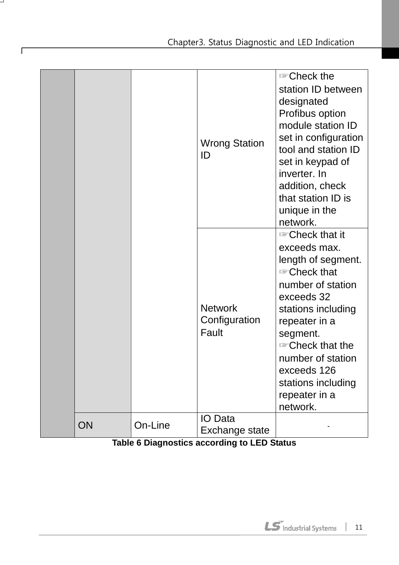|    |         | <b>Wrong Station</b><br>ID               | <b>Example Check the</b><br>station ID between<br>designated<br>Profibus option<br>module station ID<br>set in configuration<br>tool and station ID<br>set in keypad of<br>inverter. In<br>addition, check<br>that station ID is<br>unique in the<br>network.                                                 |
|----|---------|------------------------------------------|---------------------------------------------------------------------------------------------------------------------------------------------------------------------------------------------------------------------------------------------------------------------------------------------------------------|
|    |         | <b>Network</b><br>Configuration<br>Fault | <b>Example Check that it</b><br>exceeds max.<br>length of segment.<br><b>Example Check that</b><br>number of station<br>exceeds 32<br>stations including<br>repeater in a<br>segment.<br><b>Example Check that the</b><br>number of station<br>exceeds 126<br>stations including<br>repeater in a<br>network. |
| ON | On-Line | <b>IO</b> Data<br>Exchange state         |                                                                                                                                                                                                                                                                                                               |

┙

 $\sqrt{ }$ 

**Table 6 Diagnostics according to LED Status**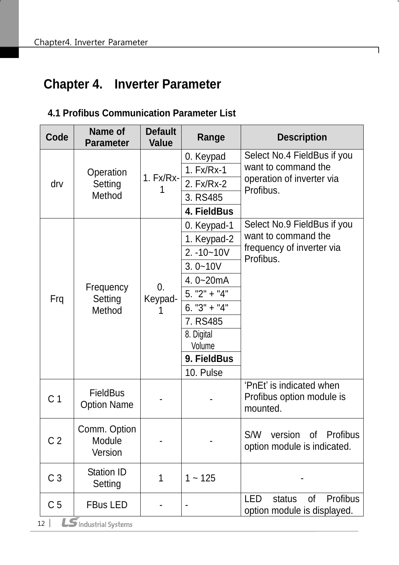# <span id="page-13-0"></span>**Chapter 4. Inverter Parameter**

### <span id="page-13-1"></span>**4.1 Profibus Communication Parameter List**

| Code           | Name of<br><b>Parameter</b>                            | <b>Default</b><br><b>Value</b> | Range          | <b>Description</b>                                                |
|----------------|--------------------------------------------------------|--------------------------------|----------------|-------------------------------------------------------------------|
|                |                                                        |                                | 0. Keypad      | Select No.4 FieldBus if you                                       |
|                | Operation                                              |                                | 1. Fx/Rx-1     | want to command the                                               |
| drv            | Setting                                                | $1. Fx/Rx-$                    | 2. Fx/Rx-2     | operation of inverter via<br>Profibus.                            |
|                | Method                                                 |                                | 3. RS485       |                                                                   |
|                |                                                        |                                | 4. FieldBus    |                                                                   |
|                |                                                        |                                | 0. Keypad-1    | Select No.9 FieldBus if you                                       |
|                |                                                        |                                | 1. Keypad-2    | want to command the                                               |
|                |                                                        |                                | $2. -10 - 10V$ | frequency of inverter via                                         |
|                |                                                        |                                | $3.0 - 10V$    | Profibus.                                                         |
|                |                                                        |                                | 4.0~20 $mA$    |                                                                   |
| Frq            | Frequency<br>Setting                                   | $\overline{0}$ .<br>Keypad-    | $5. "2" + "4"$ |                                                                   |
|                | Method                                                 |                                | $6. "3" + "4"$ |                                                                   |
|                |                                                        |                                | 7. RS485       |                                                                   |
|                |                                                        |                                | 8. Digital     |                                                                   |
|                |                                                        |                                | Volume         |                                                                   |
|                |                                                        |                                | 9. FieldBus    |                                                                   |
|                |                                                        |                                | 10. Pulse      |                                                                   |
| C <sub>1</sub> | <b>FieldBus</b><br><b>Option Name</b>                  |                                |                | 'PnEt' is indicated when<br>Profibus option module is<br>mounted. |
| C <sub>2</sub> | Comm. Option<br>Module<br>Version                      |                                |                | of Profibus<br>S/W<br>version<br>option module is indicated.      |
| C <sub>3</sub> | <b>Station ID</b><br>Setting                           | 1                              | $1 - 125$      |                                                                   |
| C <sub>5</sub> | <b>FBus LED</b><br>$\boldsymbol{S}$ Industrial Systems |                                |                | Profibus<br>LED<br>status<br>0f<br>option module is displayed.    |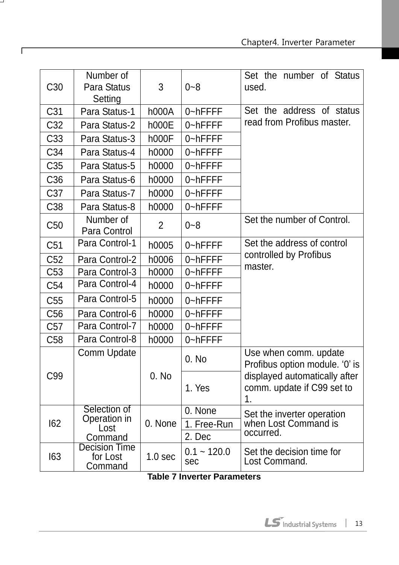| C <sub>30</sub> | Number of<br>Para Status<br>Setting         | $\mathfrak{S}$     | $0 - 8$              | Set the number of Status<br>used.                                 |
|-----------------|---------------------------------------------|--------------------|----------------------|-------------------------------------------------------------------|
| C <sub>31</sub> | Para Status-1                               | h000A              | 0~hFFFF              | Set the address of status                                         |
| C <sub>32</sub> | Para Status-2                               | <b>h000E</b>       | 0~hFFFF              | read from Profibus master.                                        |
| C <sub>33</sub> | Para Status-3                               | <b>h000F</b>       | 0~hFFFF              |                                                                   |
| C34             | Para Status-4                               | h0000              | 0~hFFFF              |                                                                   |
| C <sub>35</sub> | Para Status-5                               | h0000              | 0~hFFFF              |                                                                   |
| C <sub>36</sub> | Para Status-6                               | h0000              | 0~hFFFF              |                                                                   |
| C <sub>37</sub> | Para Status-7                               | h0000              | 0~hFFFF              |                                                                   |
| C <sub>38</sub> | Para Status-8                               | h0000              | 0~hFFFF              |                                                                   |
| C50             | Number of<br>Para Control                   | $\overline{2}$     | $0 - 8$              | Set the number of Control.                                        |
| C51             | Para Control-1                              | h0005              | 0~hFFFF              | Set the address of control                                        |
| C52             | Para Control-2                              | h0006              | 0~hFFFF              | controlled by Profibus                                            |
| C53             | Para Control-3                              | h0000              | 0~hFFFF              | master.                                                           |
| C54             | Para Control-4                              | h0000              | 0~hFFFF              |                                                                   |
| C55             | Para Control-5                              | h0000              | 0~hFFFF              |                                                                   |
| C56             | Para Control-6                              | h0000              | 0~hFFFF              |                                                                   |
| C57             | Para Control-7                              | h0000              | 0~hFFFF              |                                                                   |
| C58             | Para Control-8                              | h0000              | 0~hFFFF              |                                                                   |
|                 | Comm Update                                 |                    | 0. No                | Use when comm. update<br>Profibus option module. '0' is           |
| C99             |                                             | 0. No              | 1. Yes               | displayed automatically after<br>comm. update if C99 set to<br>1. |
|                 | Selection of                                |                    | 0. None              | Set the inverter operation                                        |
| 162             | Operation in<br>Lost                        | 0. None            | 1. Free-Run          | when Lost Command is                                              |
|                 | Command                                     |                    | 2. Dec               | occurred.                                                         |
| 163             | <b>Decision Time</b><br>for Lost<br>Command | 1.0 <sub>sec</sub> | $0.1 - 120.0$<br>sec | Set the decision time for<br>Lost Command.                        |

 $\overline{\phantom{0}}$ 

 $\Gamma$ 

**Table 7 Inverter Parameters**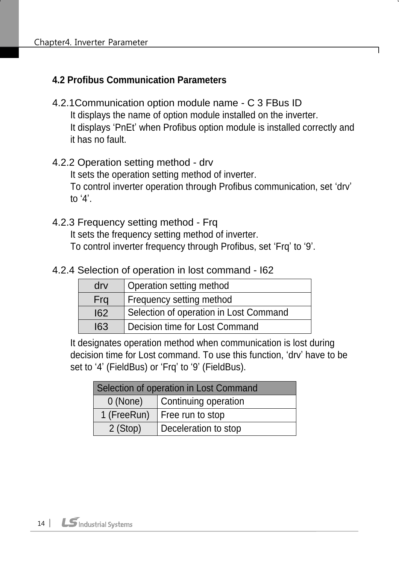#### <span id="page-15-5"></span>**4.2 Profibus Communication Parameters**

- <span id="page-15-0"></span>4.2.1Communication option module name - C 3 FBus ID It displays the name of option module installed on the inverter. It displays 'PnEt' when Profibus option module is installed correctly and it has no fault.
- <span id="page-15-1"></span>4.2.2 Operation setting method - drv It sets the operation setting method of inverter. To control inverter operation through Profibus communication, set 'drv' to '4'.
- <span id="page-15-2"></span>4.2.3 Frequency setting method - Frq It sets the frequency setting method of inverter. To control inverter frequency through Profibus, set 'Frq' to '9'.
- <span id="page-15-3"></span>4.2.4 Selection of operation in lost command - I62

| $\mathsf{d}$ rv | Operation setting method               |
|-----------------|----------------------------------------|
| Fra             | Frequency setting method               |
| 162             | Selection of operation in Lost Command |
| 163             | Decision time for Lost Command         |

It designates operation method when communication is lost during decision time for Lost command. To use this function, 'drv' have to be set to '4' (FieldBus) or 'Frq' to '9' (FieldBus).

<span id="page-15-4"></span>

| Selection of operation in Lost Command |  |  |  |
|----------------------------------------|--|--|--|
| Continuing operation<br>0 (None)       |  |  |  |
| 1 (FreeRun)<br>Free run to stop        |  |  |  |
| Deceleration to stop<br>2 (Stop)       |  |  |  |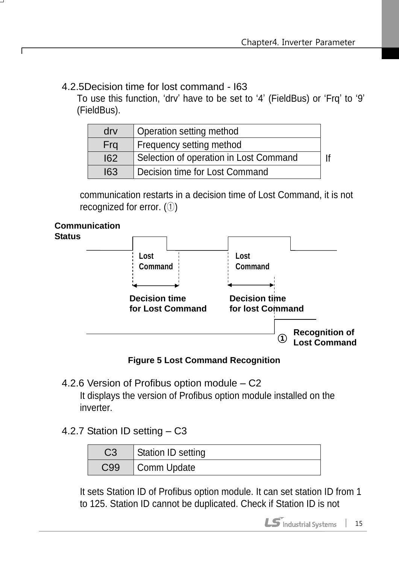4.2.5Decision time for lost command - I63

To use this function, 'drv' have to be set to '4' (FieldBus) or 'Frq' to '9' (FieldBus).

| $\mathsf{d}$ rv | Operation setting method               |  |
|-----------------|----------------------------------------|--|
| Frq             | Frequency setting method               |  |
| 162             | Selection of operation in Lost Command |  |
| 163             | Decision time for Lost Command         |  |

communication restarts in a decision time of Lost Command, it is not recognized for error. (①)



ſ



**Figure 5 Lost Command Recognition**

- <span id="page-16-0"></span>4.2.6 Version of Profibus option module – C2 It displays the version of Profibus option module installed on the inverter.
- <span id="page-16-1"></span>4.2.7 Station ID setting – C3

| C3  | Station ID setting |
|-----|--------------------|
| C99 | Comm Update        |

It sets Station ID of Profibus option module. It can set station ID from 1 to 125. Station ID cannot be duplicated. Check if Station ID is not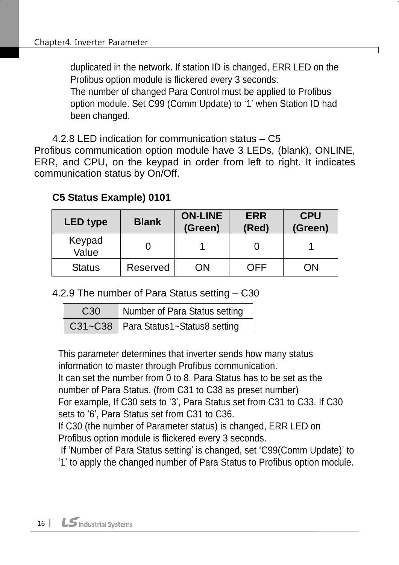duplicated in the network. If station ID is changed, ERR LED on the Profibus option module is flickered every 3 seconds. The number of changed Para Control must be applied to Profibus option module. Set C99 (Comm Update) to '1' when Station ID had been changed.

<span id="page-17-0"></span>4.2.8 LED indication for communication status – C5 Profibus communication option module have 3 LEDs, (blank), ONLINE, ERR, and CPU, on the keypad in order from left to right. It indicates communication status by On/Off.

#### **C5 Status Example) 0101**

| <b>LED type</b> | <b>Blank</b>    | <b>ON-LINE</b><br>(Green) | <b>ERR</b><br>(Red) | <b>CPU</b><br>(Green) |
|-----------------|-----------------|---------------------------|---------------------|-----------------------|
| Keypad<br>Value |                 |                           |                     |                       |
| <b>Status</b>   | <b>Reserved</b> | ОN                        | OFF                 | `)N                   |

<span id="page-17-1"></span>4.2.9 The number of Para Status setting – C30

| C <sub>30</sub> | Number of Para Status setting          |  |
|-----------------|----------------------------------------|--|
|                 | C31~C38   Para Status1~Status8 setting |  |

This parameter determines that inverter sends how many status information to master through Profibus communication.

It can set the number from 0 to 8. Para Status has to be set as the number of Para Status. (from C31 to C38 as preset number)

For example, If C30 sets to '3', Para Status set from C31 to C33. If C30 sets to '6', Para Status set from C31 to C36.

If C30 (the number of Parameter status) is changed, ERR LED on Profibus option module is flickered every 3 seconds.

If 'Number of Para Status setting' is changed, set 'C99(Comm Update)' to '1' to apply the changed number of Para Status to Profibus option module.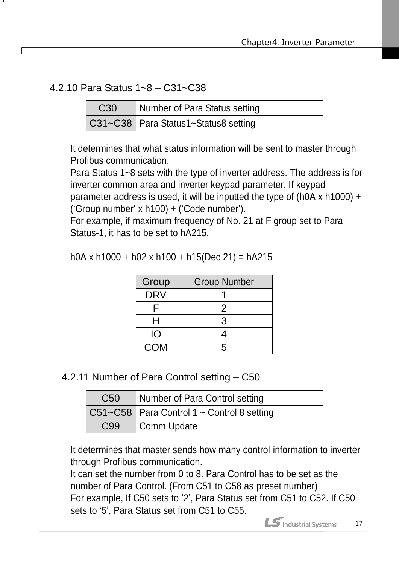<span id="page-18-0"></span>4.2.10 Para Status 1~8 – C31~C38

| C <sub>30</sub> | Number of Para Status setting          |
|-----------------|----------------------------------------|
|                 | C31~C38   Para Status1~Status8 setting |

It determines that what status information will be sent to master through Profibus communication.

Para Status 1~8 sets with the type of inverter address. The address is for inverter common area and inverter keypad parameter. If keypad parameter address is used, it will be inputted the type of (h0A x h1000) +

('Group number' x h100) + ('Code number').

For example, if maximum frequency of No. 21 at F group set to Para Status-1, it has to be set to hA215.

| Group      | <b>Group Number</b> |  |  |
|------------|---------------------|--|--|
| <b>DRV</b> |                     |  |  |
| ╒          | 2                   |  |  |
| н          | 3                   |  |  |
| IO         | 4                   |  |  |
| <b>COM</b> | 5                   |  |  |

h0A x h1000 + h02 x h100 + h15(Dec 21) = hA215

<span id="page-18-1"></span>4.2.11 Number of Para Control setting – C50

| C <sub>50</sub> | Number of Para Control setting               |
|-----------------|----------------------------------------------|
|                 | C51~C58   Para Control 1 ~ Control 8 setting |
| C99             | Comm Update                                  |

It determines that master sends how many control information to inverter through Profibus communication.

It can set the number from 0 to 8. Para Control has to be set as the number of Para Control. (From C51 to C58 as preset number) For example, If C50 sets to '2', Para Status set from C51 to C52. If C50 sets to '5', Para Status set from C51 to C55.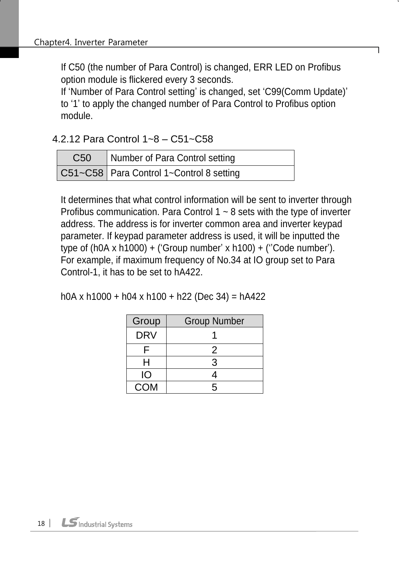If C50 (the number of Para Control) is changed, ERR LED on Profibus option module is flickered every 3 seconds.

If 'Number of Para Control setting' is changed, set 'C99(Comm Update)' to '1' to apply the changed number of Para Control to Profibus option module.

<span id="page-19-0"></span>4.2.12 Para Control 1~8 – C51~C58

| C <sub>50</sub> | Number of Para Control setting             |
|-----------------|--------------------------------------------|
|                 | C51~C58   Para Control 1~Control 8 setting |

It determines that what control information will be sent to inverter through Profibus communication. Para Control  $1 \sim 8$  sets with the type of inverter address. The address is for inverter common area and inverter keypad parameter. If keypad parameter address is used, it will be inputted the type of (h0A x h1000) + ('Group number' x h100) + (''Code number'). For example, if maximum frequency of No.34 at IO group set to Para Control-1, it has to be set to hA422.

h0A x h1000 + h04 x h100 + h22 (Dec 34) = hA422

| Group      | <b>Group Number</b> |  |  |  |
|------------|---------------------|--|--|--|
| <b>DRV</b> |                     |  |  |  |
|            | 2                   |  |  |  |
| H          | 3                   |  |  |  |
| IО         |                     |  |  |  |
| <b>COM</b> | 5                   |  |  |  |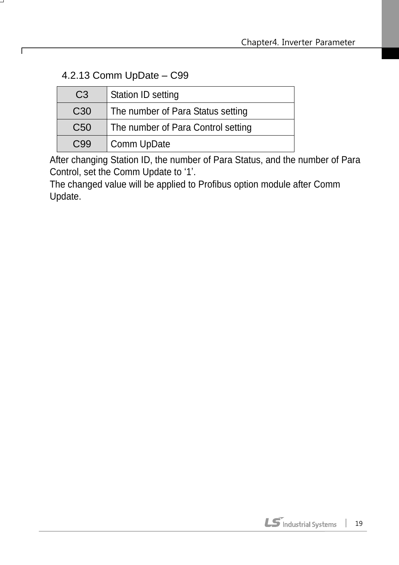#### <span id="page-20-0"></span>4.2.13 Comm UpDate – C99

 $\Gamma$ 

| C <sub>3</sub>  | Station ID setting                 |
|-----------------|------------------------------------|
| C <sub>30</sub> | The number of Para Status setting  |
| C <sub>50</sub> | The number of Para Control setting |
| C <sub>99</sub> | Comm UpDate                        |

After changing Station ID, the number of Para Status, and the number of Para Control, set the Comm Update to '1'.

<span id="page-20-1"></span>The changed value will be applied to Profibus option module after Comm Update.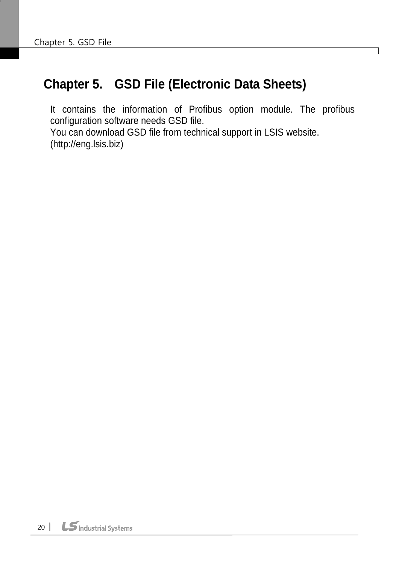## **Chapter 5. GSD File (Electronic Data Sheets)**

It contains the information of Profibus option module. The profibus configuration software needs GSD file. You can download GSD file from technical support in LSIS website. (http://eng.lsis.biz)

٦